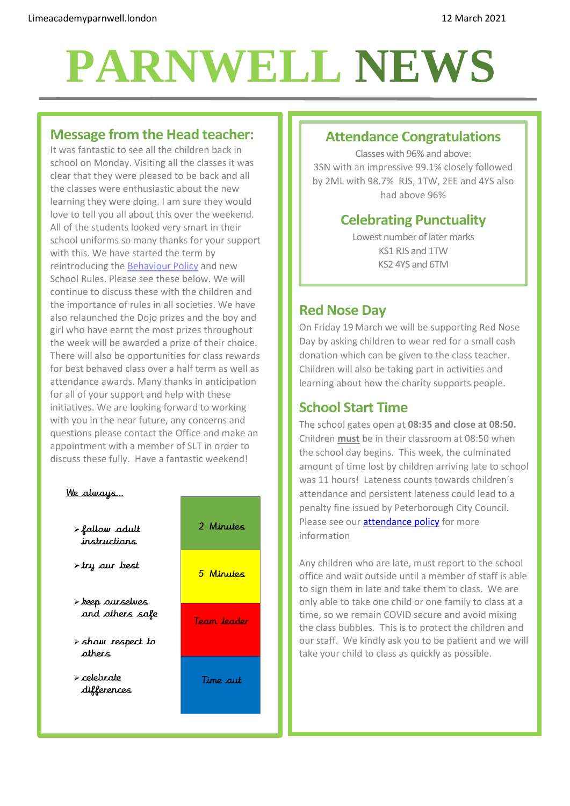# **PARNWELL NEWS**

# **Message from the Head teacher:**

It was fantastic to see all the children back in school on Monday. Visiting all the classes it was clear that they were pleased to be back and all the classes were enthusiastic about the new learning they were doing. I am sure they would love to tell you all about this over the weekend. All of the students looked very smart in their school uniforms so many thanks for your support with this. We have started the term by reintroducing the [Behaviour](http://limeacademyparnwell.org/media/4145/behaviour-policy-2020-primary-final-2020-11-17.pdf) Policy and new School Rules. Please see these below. We will continue to discuss these with the children and the importance of rules in all societies. We have also relaunched the Dojo prizes and the boy and girl who have earnt the most prizes throughout the week will be awarded a prize of their choice. There will also be opportunities for class rewards for best behaved class over a half term as well as attendance awards. Many thanks in anticipation for all of your support and help with these initiatives. We are looking forward to working with you in the near future, any concerns and questions please contact the Office and make an appointment with a member of SLT in order to discuss these fully. Have a fantastic weekend!



### **Attendance Congratulations**

Classes with 96% and above: 3SN with an impressive 99.1% closely followed by 2ML with 98.7% RJS, 1TW, 2EE and 4YS also had above 96%

# **Celebrating Punctuality**

Lowest number of later marks KS1 RJS and 1TW KS2 4YS and 6TM

# **Red Nose Day**

On Friday 19 March we will be supporting Red Nose Day by asking children to wear red for a small cash donation which can be given to the class teacher. Children will also be taking part in activities and learning about how the charity supports people.

# **School Start Time**

The school gates open at **08:35 and close at 08:50.**  Children **must** be in their classroom at 08:50 when the school day begins. This week, the culminated amount of time lost by children arriving late to school was 11 hours! Lateness counts towards children's attendance and persistent lateness could lead to a penalty fine issued by Peterborough City Council. Please see our **attendance policy** for more information

Any children who are late, must report to the school office and wait outside until a member of staff is able to sign them in late and take them to class. We are only able to take one child or one family to class at a time, so we remain COVID secure and avoid mixing the class bubbles. This is to protect the children and our staff. We kindly ask you to be patient and we will take your child to class as quickly as possible.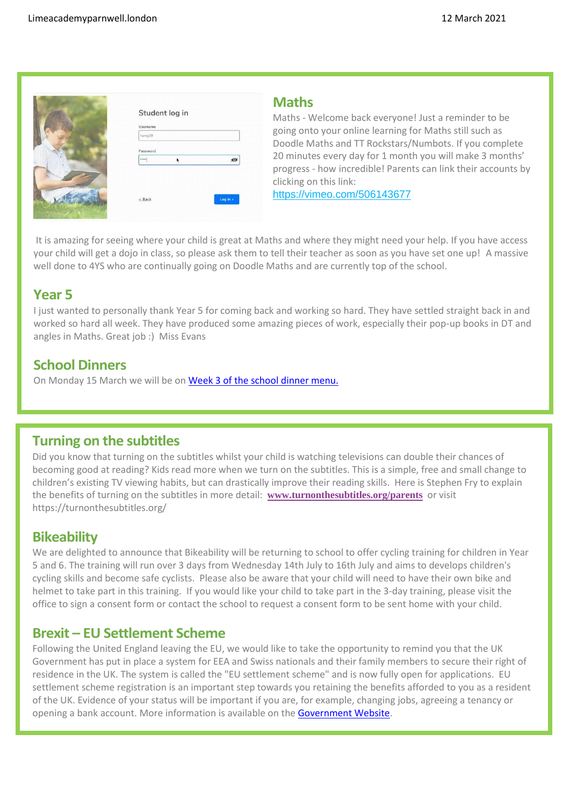

| harryj19      |         |
|---------------|---------|
| Password      |         |
| $1000 - 1000$ | $\circ$ |
|               |         |
|               |         |

#### **Maths**

Maths - Welcome back everyone! Just a reminder to be going onto your online learning for Maths still such as Doodle Maths and TT Rockstars/Numbots. If you complete 20 minutes every day for 1 month you will make 3 months' progress - how incredible! Parents can link their accounts by clicking on this link:

<https://vimeo.com/506143677>

It is amazing for seeing where your child is great at Maths and where they might need your help. If you have access your child will get a dojo in class, so please ask them to tell their teacher as soon as you have set one up! A massive well done to 4YS who are continually going on Doodle Maths and are currently top of the school.

## **Year 5**

I just wanted to personally thank Year 5 for coming back and working so hard. They have settled straight back in and worked so hard all week. They have produced some amazing pieces of work, especially their pop-up books in DT and angles in Maths. Great job :) Miss Evans

## **School Dinners**

On Monday 15 March we will be on Week 3 [of the school dinner menu.](http://limeacademyparnwell.org/media/3932/dinner-menu-2020-09-18.pdf)

#### **Turning on the subtitles**

Did you know that turning on the subtitles whilst your child is watching televisions can double their chances of becoming good at reading? Kids read more when we turn on the subtitles. This is a simple, free and small change to children's existing TV viewing habits, but can drastically improve their reading skills. Here is Stephen Fry to explain the benefits of turning on the subtitles in more detail: **[www.turnonthesubtitles.org/parents](http://edu2.sprintsend.co.uk/b1/el.php?SID=4796016&STATID=503&LID=1033&FID=H)** or visit https://turnonthesubtitles.org/

#### **Bikeability**

We are delighted to announce that Bikeability will be returning to school to offer cycling training for children in Year 5 and 6. The training will run over 3 days from Wednesday 14th July to 16th July and aims to develops children's cycling skills and become safe cyclists. Please also be aware that your child will need to have their own bike and helmet to take part in this training. If you would like your child to take part in the 3-day training, please visit the office to sign a consent form or contact the school to request a consent form to be sent home with your child.

## **Brexit – EU Settlement Scheme**

Following the United England leaving the EU, we would like to take the opportunity to remind you that the UK Government has put in place a system for EEA and Swiss nationals and their family members to secure their right of residence in the UK. The system is called the "EU settlement scheme" and is now fully open for applications. EU settlement scheme registration is an important step towards you retaining the benefits afforded to you as a resident of the UK. Evidence of your status will be important if you are, for example, changing jobs, agreeing a tenancy or opening a bank account. More information is available on the [Government](https://www.gov.uk/settled-status-eu-citizens-families/applying-for-settled-status?utm_campaign=EU_SettlementScheme(apply)&utm_medium=PaidSearch&utm_source=GoogleBing&utm_content=ExpandedLink&gclid=EAIaIQobChMIm-XCpcaq7wIVE-vtCh2DCAGtEAAYASAAEgKaP_D_BwE&gclsrc=aw.ds) Website.